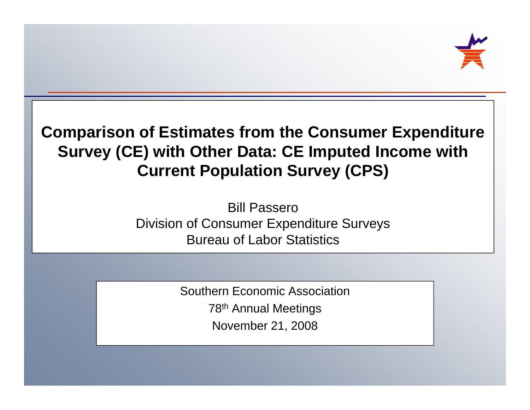

### **Comparison of Estimates from the Consumer Expenditure Survey (CE) with Other Data: CE Imputed Income with Current Po p y ulation Surve ( ) CPS**

Bill PasseroDivision of Consumer Expenditure Surveys Bureau of Labor Statistics

> Southern Economic Association78th Annual Meetings November 21, 2008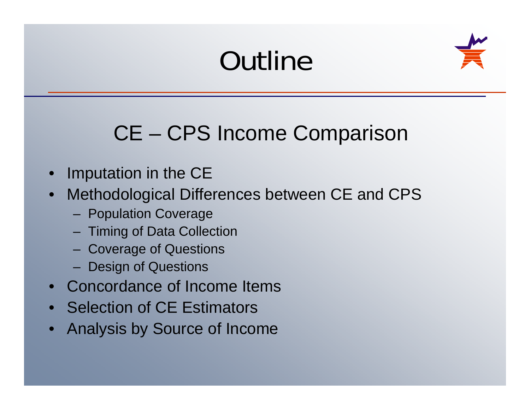# **Outline**



### CE – CPS Income Comparison

- Imputation in the CE
- Methodological Differences between CE and CPS
	- Population Coverage
	- Timing of Data Collection
	- Coverage of Questions
	- Design of Questions
- Concordance of Income Items
- Selection of CE Estimators
- Analysis by Source of Income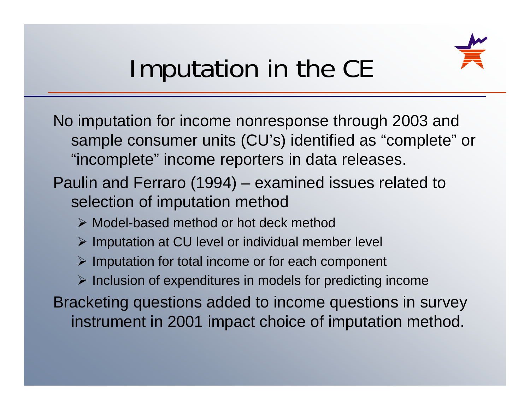

# Imputation in the CE

No imputation for income nonresponse through 2003 and sample consumer units (CU's) identified as "complete" or "incomplete" income reporters in data releases.

- Paulin and Ferraro (1994) examined issues related to selection of imputation method
	- Model-based method or hot deck method
	- $\triangleright$  Imputation at CU level or individual member level
	- $\triangleright$  Imputation for total income or for each component
	- $\triangleright$  Inclusion of expenditures in models for predicting income

Bracketing questions added to income questions in survey instrument in 2001 impact choice of imputation method.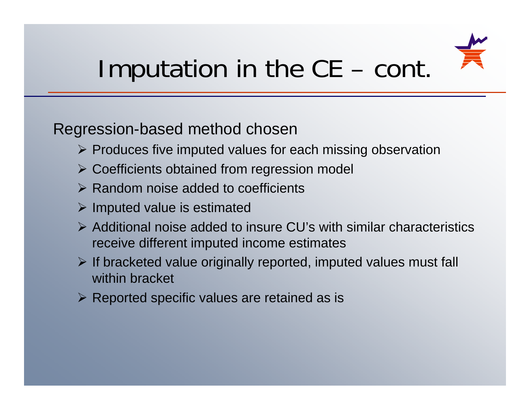

#### Imputation in the CE  $-$  cont.

#### Regression-based method chosen

- $\triangleright$  Produces five imputed values for each missing observation
- Coefficients obtained from regression model
- $\triangleright$  Random noise added to coefficients
- $\triangleright$  Imputed value is estimated
- $\triangleright$  Additional noise added to insure CU's with similar characteristics receive different imputed income estimates
- $\triangleright$  If bracketed value originally reported, imputed values must fall within bracket
- $\triangleright$  Reported specific values are retained as is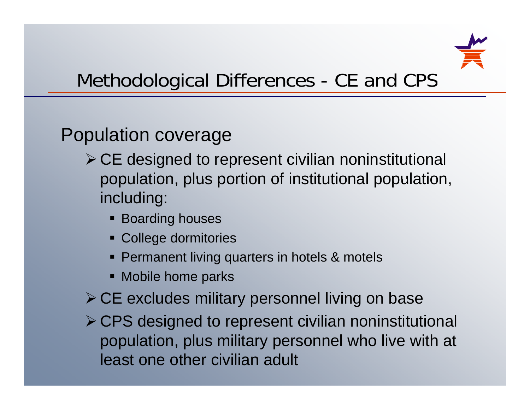

### Methodological Differences - CE and CPS

### Population coverage

- $\triangleright$  CE designed to represent civilian noninstitutional population, plus portion of institutional population, including:
	- **Boarding houses**
	- College dormitories
	- **Permanent living quarters in hotels & motels**
	- Mobile home parks
- $\triangleright$  CE excludes military personnel living on base
- CPS designed to represent civilian noninstitutional population, plus military personnel who live with at least one other civilian adult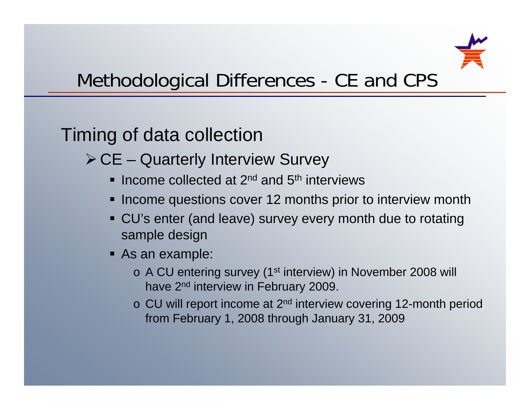

### Methodological Differences - CE and CPS

### Timing of data collection

- $\triangleright$  CE Quarterly Interview Survey
	- **Income collected at 2<sup>nd</sup> and 5<sup>th</sup> interviews** \_\_\_\_\_\_\_\_\_\_\_\_\_\_\_\_\_\_\_
	- Income questions cover 12 months prior to interview month
	- CU's enter (and leave) survey every month due to rotating sample design
	- As an example:
		- o A CU entering survey (1<sup>st</sup> interview) in November 2008 will have 2<sup>nd</sup> interview in February 2009.
		- <sup>o</sup> CU will report income at 2nd interview covering 12-month period from February 1, 2008 through January 31, 2009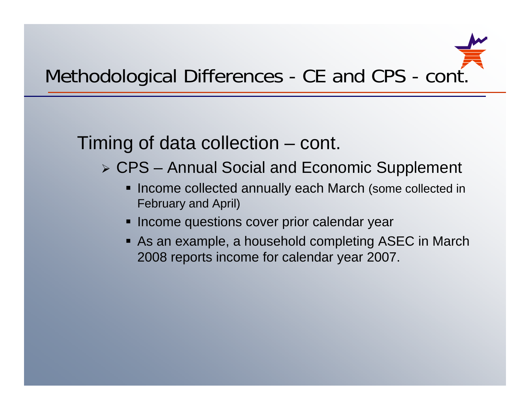### Timing of data collection – cont.

- CPS Annual Social and Economic Supplement
	- **Income collected annually each March (some collected in** February and April)
	- $\textcolor{red}{\blacksquare}$  Income questions cover prior calendar year
	- As an example, a household completing ASEC in March 2008 reports income for calendar year 2007.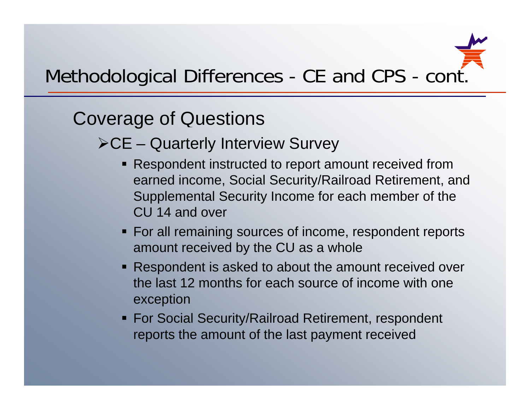

### Covera ge of Questions

 $\triangleright$  CE – Quarterly Interview Survey

- Respondent instructed to report amount received from earned income, Social Security/Railroad Retirement, and Supplemental Security Income for each member of the CU 14 and over
- $\textcolor{red}{\bullet}$  For all remaining sources of income, respondent reports amount received by the CU as a whole
- Respondent is asked to about the amount received over the last 12 months for each source of income with one exception
- For Social Security/Railroad Retirement, respondent reports the amount of the last payment received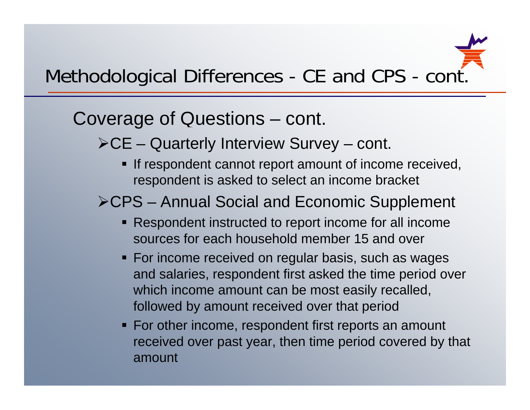#### Covera ge of Questions – cont.

- $\triangleright$  CE Quarterly Interview Survey cont.
	- **If respondent cannot report amount of income received,** respondent is asked to select an income bracket

### CPS – Annual Social and Economic Supplement

- Respondent instructed to report income for all income sources for each household member 15 and over
- For income received on regular basis, such as wages and salaries, respondent first asked the time period over which income amount can be most easily recalled, followed by amount received over that period
- For other income, respondent first reports an amount received over past year, then time period covered by that amount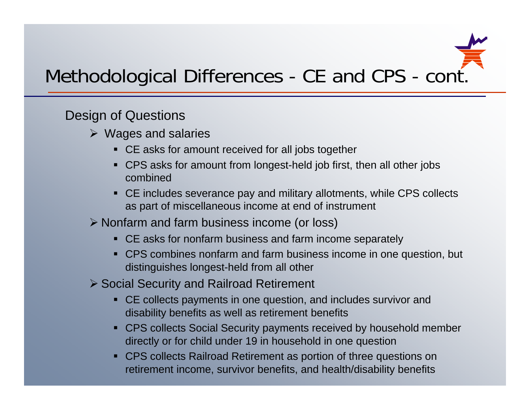

#### Design of Questions

- $\triangleright$  Wages and salaries
	- CE asks for amount received for all jobs together
	- CPS asks for amount from longest-held job first, then all other jobs combined
	- CE includes severance pay and military allotments, while CPS collects as part of miscellaneous income at end of instrument
- Nonfarm and farm business income (or loss)
	- CE asks for nonfarm business and farm income separately
	- CPS combines nonfarm and farm business income in one question, but distinguishes longest-held from all other
- Social Security and Railroad Retirement
	- CE collects payments in one question, and includes survivor and disability benefits as well as retirement benefits
	- CPS collects Social Security payments received by household member directly or for child under 19 in household in one question
	- CPS collects Railroad Retirement as portion of three questions on retirement income, survivor benefits, and health/disability benefits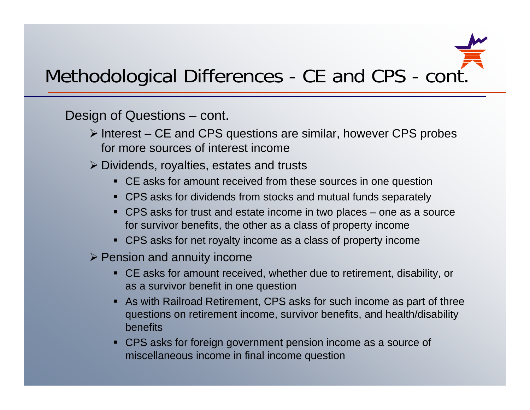

- $\triangleright$  Interest CE and CPS questions are similar, however CPS probes for more sources of interest income
- $\triangleright$  Dividends, royalties, estates and trusts
	- CE asks for amount received from these sources in one question
	- CPS asks for dividends from stocks and mutual funds separately
	- CPS asks for trust and estate income in two places one as a source for survivor benefits, the other as a class of property income
	- CPS asks for net royalty income as a class of property income
- $\triangleright$  Pension and annuity income
	- CE asks for amount received, whether due to retirement, disability, or as a survivor benefit in one question
	- As with Railroad Retirement, CPS asks for such income as part of three questions on retirement income, survivor benefits, and health/disability benefits
	- CPS asks for foreign government pension income as a source of miscellaneous income in final income question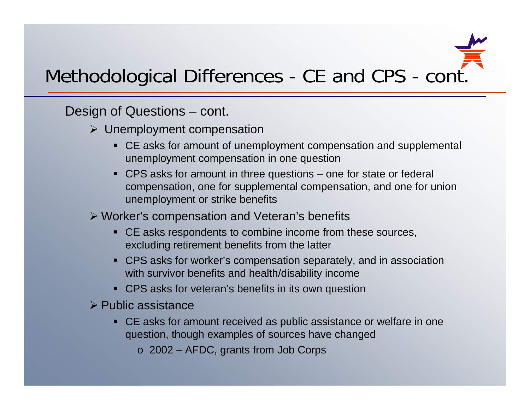

Design of Questions – cont.

- $\triangleright$  Unemployment compensation
	- CE asks for amount of unemployment compensation and supplemental unemployment compensation in one question
	- CPS asks for amount in three questions one for state or federal compensation, one for supplemental compensation, and one for union unemployment or strike benefits

Worker's compensation and Veteran's benefits

- CE asks respondents to combine income from these sources, excluding retirement benefits from the latter
- CPS asks for worker's compensation separately, and in association with survivor benefits and health/disability income
- CPS asks for veteran's benefits in its own question
- $\triangleright$  Public assistance
	- CE asks for amount received as public assistance or welfare in one question, though examples of sources have changed
		- <sup>o</sup> 2002 AFDC, grants from Job Corps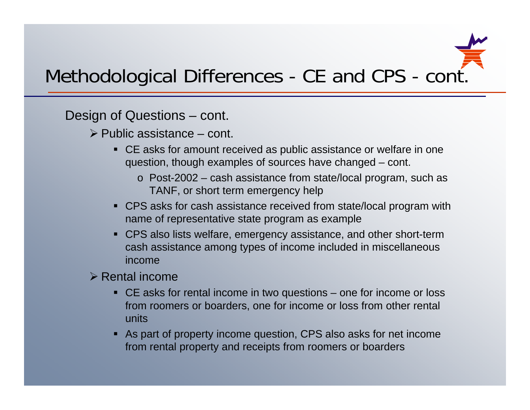

- $\triangleright$  Public assistance cont.
	- CE asks for amount received as public assistance or welfare in one question, though examples of sources have changed – cont.
		- o Post-2002 cash assistance from state/local program, such as TANF, or short term emergency help
	- CPS asks for cash assistance received from state/local program with name of representative state program as example
	- CPS also lists welfare, emergency assistance, and other short-term cash assistance among types of income included in miscellaneous income
- $\triangleright$  Rental income
	- CE asks for rental income in two questions one for income or loss from roomers or boarders, one for income or loss from other rental units
	- As part of property income question, CPS also asks for net income from rental property and receipts from roomers or boarders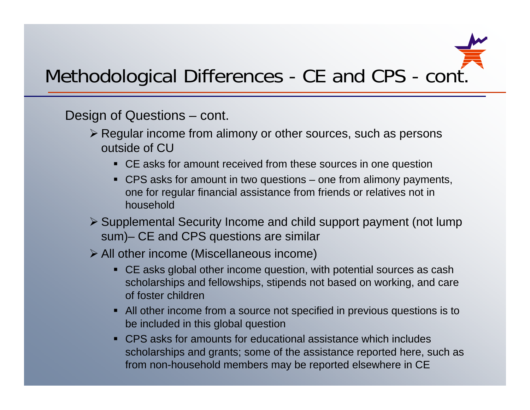

- **Examble 7 Finds** From alimony or other sources, such as persons **Example 2** outside of CU
	- CE asks for amount received from these sources in one question
	- CPS asks for amount in two questions one from alimony payments, one for regular financial assistance from friends or relatives not in household
- Supplemental Security Income and child support payment (not lump sum) – CE and CPS questions are simila r
- All other income (Miscellaneous income)
	- CE asks global other income question, with potential sources as cash scholarships and fellowships, stipends not based on working, and care of foster children
	- All other income from a source not specified in previous questions is to be included in this global question
	- CPS asks for amounts for educational assistance which includes scholarships and grants; some of the assistance reported here, such as from non-household members may be reported elsewhere in CE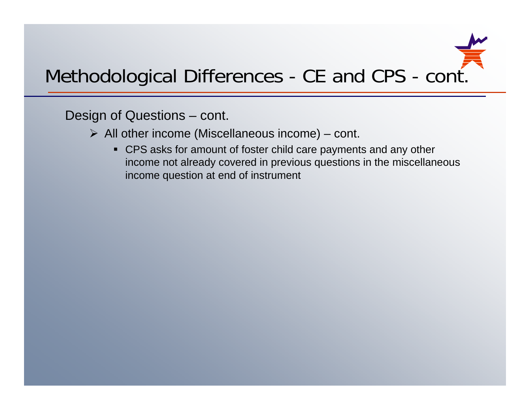

- $\triangleright$  All other income (Miscellaneous income) cont.
	- CPS asks for amount of foster child care payments and any other income not already covered in previous questions in the miscellaneous income question at end of instrument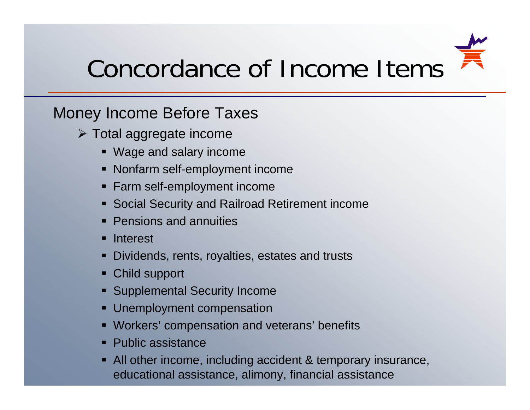

# Concordance of Income Items

#### Money Income Before Taxes

- Total aggregate income
	- Wage and salary income
	- Nonfarm self-employment income
	- Farm self-employment income
	- Social Security and Railroad Retirement income
	- Pensions and annuities
	- Interest
	- п Dividends, rents, royalties, estates and trusts
	- Child support
	- Supplemental Security Income
	- n Unemployment compensation
	- Workers' compensation and veterans' benefits
	- Public assistance
	- All other income, including accident & temporary insurance, educational assistance, alimony, financial assistance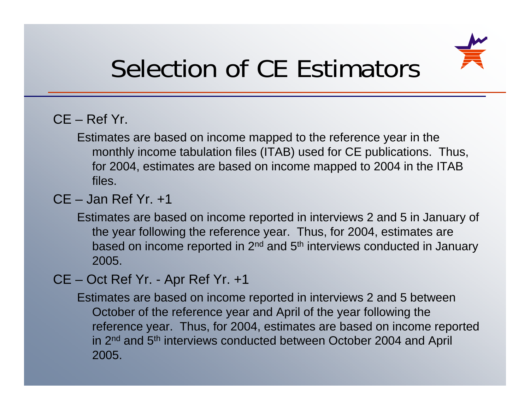

# Selection of CE Estimators

#### CE – Ref Yr.

Estimates are based on income mapped to the reference year in the monthly income tabulation files (ITAB) used for CE publications. Thus, for 2004, estimates are based on income mapped to 2004 in the ITAB files.

#### $CF - Jan$  Ref  $Yr +1$

Estimates are based on income reported in interviews 2 and 5 in January of the year following the reference year. Thus, for 2004, estimates are based on income reported in 2<sup>nd</sup> and 5<sup>th</sup> interviews conducted in January 2005.

CE –– Oct Ref Yr. - Apr Ref Yr. +1

> Estimates are based on income reported in interviews 2 and 5 between October of the reference year and April of the year following the reference year. Thus, for 2004, estimates are based on income reported in 2<sup>nd</sup> and 5<sup>th</sup> interviews conducted between October 2004 and April 2005.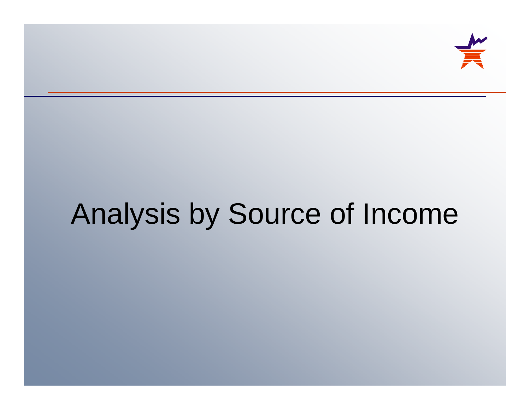

# Analysis by Source of Income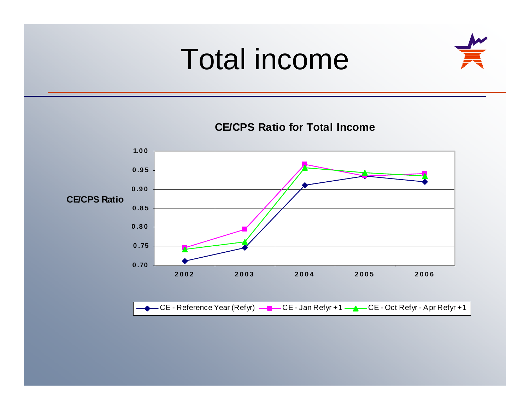# Total income



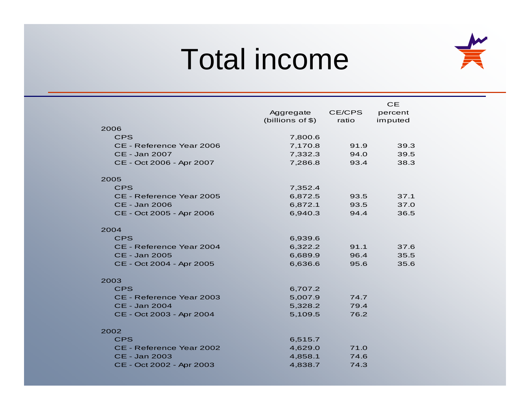# Total income



|                          |                  |        | CE      |
|--------------------------|------------------|--------|---------|
|                          | Aggregate        | CE/CPS | percent |
|                          | (billions of \$) | ratio  | imputed |
| 2006                     |                  |        |         |
| <b>CPS</b>               | 7,800.6          |        |         |
| CE - Reference Year 2006 | 7,170.8          | 91.9   | 39.3    |
| CE - Jan 2007            | 7,332.3          | 94.0   | 39.5    |
| CE - Oct 2006 - Apr 2007 | 7,286.8          | 93.4   | 38.3    |
|                          |                  |        |         |
| 2005                     |                  |        |         |
| <b>CPS</b>               | 7,352.4          |        |         |
| CE - Reference Year 2005 | 6,872.5          | 93.5   | 37.1    |
| <b>CE - Jan 2006</b>     | 6,872.1          | 93.5   | 37.0    |
| CE - Oct 2005 - Apr 2006 | 6,940.3          | 94.4   | 36.5    |
| 2004                     |                  |        |         |
| <b>CPS</b>               | 6,939.6          |        |         |
| CE - Reference Year 2004 | 6,322.2          | 91.1   | 37.6    |
| CE - Jan 2005            | 6,689.9          | 96.4   | 35.5    |
| CE - Oct 2004 - Apr 2005 | 6,636.6          | 95.6   | 35.6    |
|                          |                  |        |         |
| 2003                     |                  |        |         |
| <b>CPS</b>               | 6,707.2          |        |         |
| CE - Reference Year 2003 | 5,007.9          | 74.7   |         |
| CE - Jan 2004            | 5,328.2          | 79.4   |         |
| CE - Oct 2003 - Apr 2004 | 5,109.5          | 76.2   |         |
|                          |                  |        |         |
| 2002                     |                  |        |         |
| <b>CPS</b>               | 6,515.7          |        |         |
| CE - Reference Year 2002 | 4,629.0          | 71.0   |         |
| CE - Jan 2003            | 4,858.1          | 74.6   |         |
| CE - Oct 2002 - Apr 2003 | 4,838.7          | 74.3   |         |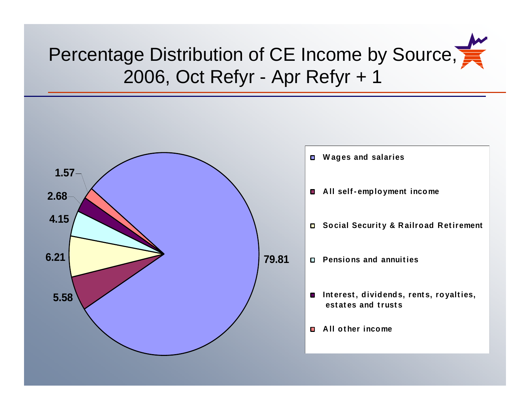## Percentage Distribution of CE Income by Source, 2006, Oct Refyr - Apr Refyr + 1



 **W ages and salaries Social Securit y & R ailroad R et irement 79.81 Pensions and annuit ies est at es and t rust s A ll ot her income**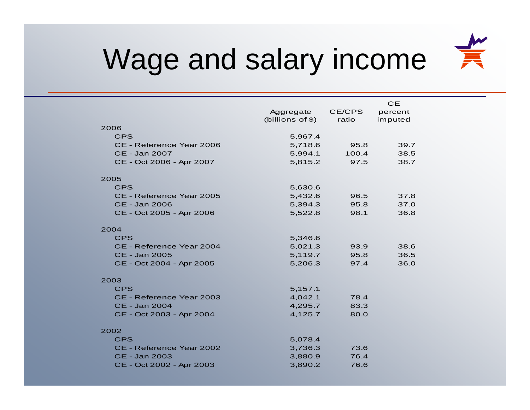

# Wage and salary income

|                          | Aggregate<br>(billions of \$) | CE/CPS<br>ratio | <b>CE</b><br>percent<br>imputed |  |
|--------------------------|-------------------------------|-----------------|---------------------------------|--|
| 2006                     |                               |                 |                                 |  |
| <b>CPS</b>               | 5,967.4                       |                 |                                 |  |
| CE - Reference Year 2006 | 5,718.6                       | 95.8            | 39.7                            |  |
| CE - Jan 2007            | 5,994.1                       | 100.4           | 38.5                            |  |
| CE - Oct 2006 - Apr 2007 | 5,815.2                       | 97.5            | 38.7                            |  |
| 2005                     |                               |                 |                                 |  |
| <b>CPS</b>               | 5,630.6                       |                 |                                 |  |
| CE - Reference Year 2005 | 5,432.6                       | 96.5            | 37.8                            |  |
| CE - Jan 2006            | 5,394.3                       | 95.8            | 37.0                            |  |
| CE - Oct 2005 - Apr 2006 | 5,522.8                       | 98.1            | 36.8                            |  |
| 2004                     |                               |                 |                                 |  |
| <b>CPS</b>               | 5,346.6                       |                 |                                 |  |
| CE - Reference Year 2004 | 5,021.3                       | 93.9            | 38.6                            |  |
| CE - Jan 2005            | 5,119.7                       | 95.8            | 36.5                            |  |
| CE - Oct 2004 - Apr 2005 | 5,206.3                       | 97.4            | 36.0                            |  |
| 2003                     |                               |                 |                                 |  |
| <b>CPS</b>               | 5,157.1                       |                 |                                 |  |
| CE - Reference Year 2003 | 4,042.1                       | 78.4            |                                 |  |
| CE - Jan 2004            | 4,295.7                       | 83.3            |                                 |  |
| CE - Oct 2003 - Apr 2004 | 4,125.7                       | 80.0            |                                 |  |
| 2002                     |                               |                 |                                 |  |
| <b>CPS</b>               | 5,078.4                       |                 |                                 |  |
| CE - Reference Year 2002 | 3,736.3                       | 73.6            |                                 |  |
| CE - Jan 2003            | 3,880.9                       | 76.4            |                                 |  |
| CE - Oct 2002 - Apr 2003 | 3,890.2                       | 76.6            |                                 |  |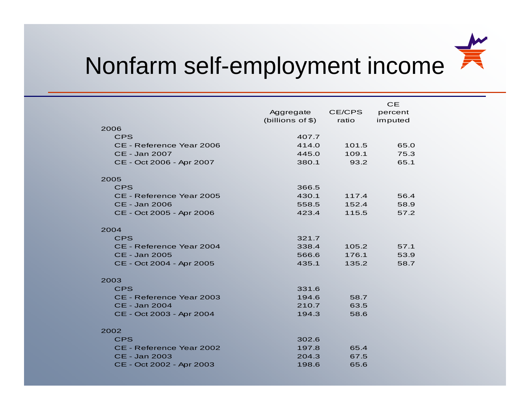

## Nonfarm self-employment income

|                          |                  |       | CE      |
|--------------------------|------------------|-------|---------|
|                          | Aggregate CE/CPS |       | percent |
|                          | (billions of \$) | ratio | imputed |
| 2006                     |                  |       |         |
| <b>CPS</b>               | 407.7            |       |         |
| CE - Reference Year 2006 | 414.0            | 101.5 | 65.0    |
| CE - Jan 2007            | 445.0            | 109.1 | 75.3    |
| CE - Oct 2006 - Apr 2007 | 380.1            | 93.2  | 65.1    |
| 2005                     |                  |       |         |
| <b>CPS</b>               | 366.5            |       |         |
| CE - Reference Year 2005 | 430.1            | 117.4 | 56.4    |
| CE - Jan 2006            | 558.5            | 152.4 | 58.9    |
| CE - Oct 2005 - Apr 2006 | 423.4            | 115.5 | 57.2    |
| 2004                     |                  |       |         |
| <b>CPS</b>               | 321.7            |       |         |
| CE - Reference Year 2004 | 338.4            | 105.2 | 57.1    |
| CE - Jan 2005            | 566.6            | 176.1 | 53.9    |
| CE - Oct 2004 - Apr 2005 | 435.1            | 135.2 | 58.7    |
| 2003                     |                  |       |         |
| <b>CPS</b>               | 331.6            |       |         |
| CE - Reference Year 2003 | 194.6            | 58.7  |         |
| CE - Jan 2004            | 210.7            | 63.5  |         |
| CE - Oct 2003 - Apr 2004 | 194.3            | 58.6  |         |
| 2002                     |                  |       |         |
| <b>CPS</b>               | 302.6            |       |         |
| CE - Reference Year 2002 | 197.8            | 65.4  |         |
| CE - Jan 2003            | 204.3            | 67.5  |         |
| CE - Oct 2002 - Apr 2003 | 198.6            | 65.6  |         |
|                          |                  |       |         |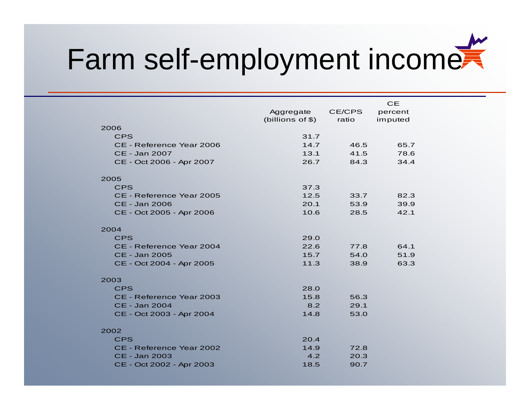# Farm self-employment income

|                          | Aggregate<br>(billions of \$) | CE/CPS<br>ratio | <b>CE</b><br>percent<br>imputed |  |
|--------------------------|-------------------------------|-----------------|---------------------------------|--|
| 2006                     |                               |                 |                                 |  |
| <b>CPS</b>               | 31.7                          |                 |                                 |  |
| CE - Reference Year 2006 | 14.7                          | 46.5            | 65.7                            |  |
| CE - Jan 2007            | 13.1                          | 41.5            | 78.6                            |  |
| CE - Oct 2006 - Apr 2007 | 26.7                          | 84.3            | 34.4                            |  |
| 2005                     |                               |                 |                                 |  |
| <b>CPS</b>               | 37.3                          |                 |                                 |  |
| CE - Reference Year 2005 | 12.5                          | 33.7            | 82.3                            |  |
| CE - Jan 2006            | 20.1                          | 53.9            | 39.9                            |  |
| CE - Oct 2005 - Apr 2006 | 10.6                          | 28.5            | 42.1                            |  |
| 2004                     |                               |                 |                                 |  |
| <b>CPS</b>               | 29.0                          |                 |                                 |  |
| CE - Reference Year 2004 | 22.6                          | 77.8            | 64.1                            |  |
| CE - Jan 2005            | 15.7                          | 54.0            | 51.9                            |  |
| CE - Oct 2004 - Apr 2005 | 11.3                          | 38.9            | 63.3                            |  |
| 2003                     |                               |                 |                                 |  |
| <b>CPS</b>               | 28.0                          |                 |                                 |  |
| CE - Reference Year 2003 | 15.8                          | 56.3            |                                 |  |
| CE - Jan 2004            | 8.2                           | 29.1            |                                 |  |
| CE - Oct 2003 - Apr 2004 | 14.8                          | 53.0            |                                 |  |
| 2002                     |                               |                 |                                 |  |
| <b>CPS</b>               | 20.4                          |                 |                                 |  |
| CE - Reference Year 2002 | 14.9                          | 72.8            |                                 |  |
| CE - Jan 2003            | 4.2                           | 20.3            |                                 |  |
| CE - Oct 2002 - Apr 2003 | 18.5                          | 90.7            |                                 |  |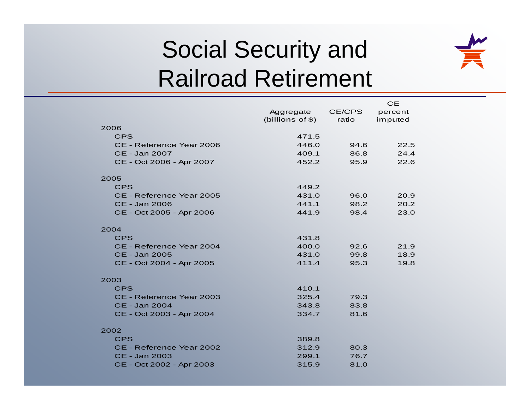# Social Security and Railroad Retirement



|                          |                  |        | <b>CE</b> |
|--------------------------|------------------|--------|-----------|
|                          | Aggregate        | CE/CPS | percent   |
|                          | (billions of \$) | ratio  | imputed   |
| 2006                     |                  |        |           |
| <b>CPS</b>               | 471.5            |        |           |
| CE - Reference Year 2006 | 446.0            | 94.6   | 22.5      |
| CE - Jan 2007            | 409.1            | 86.8   | 24.4      |
| CE - Oct 2006 - Apr 2007 | 452.2            | 95.9   | 22.6      |
| 2005                     |                  |        |           |
| <b>CPS</b>               | 449.2            |        |           |
| CE - Reference Year 2005 | 431.0            | 96.0   | 20.9      |
| CE - Jan 2006            | 441.1            | 98.2   | 20.2      |
| CE - Oct 2005 - Apr 2006 | 441.9            | 98.4   | 23.0      |
| 2004                     |                  |        |           |
| <b>CPS</b>               | 431.8            |        |           |
| CE - Reference Year 2004 | 400.0            | 92.6   | 21.9      |
| CE - Jan 2005            | 431.0            | 99.8   | 18.9      |
| CE - Oct 2004 - Apr 2005 | 411.4            | 95.3   | 19.8      |
| 2003                     |                  |        |           |
| <b>CPS</b>               | 410.1            |        |           |
| CE - Reference Year 2003 | 325.4            | 79.3   |           |
| CE - Jan 2004            | 343.8            | 83.8   |           |
| CE - Oct 2003 - Apr 2004 | 334.7            | 81.6   |           |
| 2002                     |                  |        |           |
| <b>CPS</b>               | 389.8            |        |           |
| CE - Reference Year 2002 | 312.9            | 80.3   |           |
| CE - Jan 2003            | 299.1            | 76.7   |           |
| CE - Oct 2002 - Apr 2003 | 315.9            | 81.0   |           |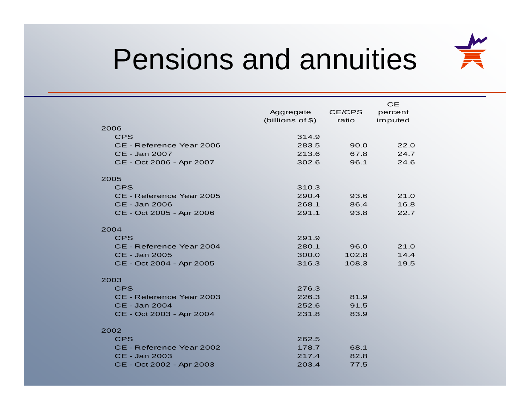

# Pensions and annuities

|                          |                   |              | <b>CE</b> |
|--------------------------|-------------------|--------------|-----------|
|                          | Aggregate         | CE/CPS       | percent   |
|                          | (billions of $$)$ | ratio        | imputed   |
| 2006                     |                   |              |           |
| <b>CPS</b>               | 314.9             |              |           |
| CE - Reference Year 2006 | 283.5             | 90.0         | 22.0      |
| CE - Jan 2007            | 213.6             | 67.8         | 24.7      |
| CE - Oct 2006 - Apr 2007 | 302.6             | 96.1         | 24.6      |
|                          |                   |              |           |
| 2005<br>CPS              | 310.3             |              |           |
| CE - Reference Year 2005 | 290.4             |              | 21.0      |
| CE - Jan 2006            | 268.1             | 93.6<br>86.4 | 16.8      |
| CE - Oct 2005 - Apr 2006 | 291.1             | 93.8         | 22.7      |
|                          |                   |              |           |
| 2004                     |                   |              |           |
| <b>CPS</b>               | 291.9             |              |           |
| CE - Reference Year 2004 | 280.1             | 96.0         | 21.0      |
| CE - Jan 2005            | 300.0             | 102.8        | 14.4      |
| CE - Oct 2004 - Apr 2005 | 316.3             | 108.3        | 19.5      |
|                          |                   |              |           |
| 2003                     |                   |              |           |
| <b>CPS</b>               | 276.3             |              |           |
| CE - Reference Year 2003 | 226.3             | 81.9         |           |
| CE - Jan 2004            | 252.6             | 91.5         |           |
| CE - Oct 2003 - Apr 2004 | 231.8             | 83.9         |           |
|                          |                   |              |           |
| 2002                     |                   |              |           |
| <b>CPS</b>               | 262.5             |              |           |
| CE - Reference Year 2002 | 178.7             | 68.1         |           |
| CE - Jan 2003            | 217.4             | 82.8         |           |
| CE - Oct 2002 - Apr 2003 | 203.4             | 77.5         |           |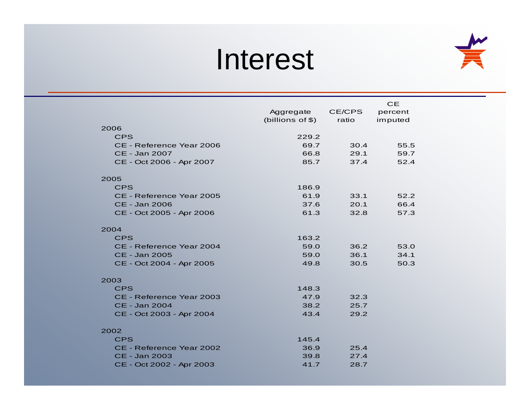# Interest



|                          |                    |        | <b>CE</b> |
|--------------------------|--------------------|--------|-----------|
|                          | Aggregate          | CE/CPS | percent   |
|                          | (billions of $$$ ) | ratio  | imputed   |
| 2006                     |                    |        |           |
| <b>CPS</b>               | 229.2              |        |           |
| CE - Reference Year 2006 | 69.7               | 30.4   | 55.5      |
| CE - Jan 2007            | 66.8               | 29.1   | 59.7      |
| CE - Oct 2006 - Apr 2007 | 85.7               | 37.4   | 52.4      |
| 2005                     |                    |        |           |
| <b>CPS</b>               | 186.9              |        |           |
| CE - Reference Year 2005 | 61.9               | 33.1   | 52.2      |
| CE - Jan 2006            | 37.6               | 20.1   | 66.4      |
| CE - Oct 2005 - Apr 2006 | 61.3               | 32.8   | 57.3      |
| 2004                     |                    |        |           |
| <b>CPS</b>               | 163.2              |        |           |
| CE - Reference Year 2004 | 59.0               | 36.2   | 53.0      |
| CE - Jan 2005            | 59.0               | 36.1   | 34.1      |
| CE - Oct 2004 - Apr 2005 | 49.8               | 30.5   | 50.3      |
| 2003                     |                    |        |           |
| <b>CPS</b>               | 148.3              |        |           |
| CE - Reference Year 2003 | 47.9               | 32.3   |           |
| CE - Jan 2004            | 38.2               | 25.7   |           |
| CE - Oct 2003 - Apr 2004 | 43.4               | 29.2   |           |
| 2002                     |                    |        |           |
| <b>CPS</b>               | 145.4              |        |           |
| CE - Reference Year 2002 | 36.9               | 25.4   |           |
| CE - Jan 2003            | 39.8               | 27.4   |           |
| CE - Oct 2002 - Apr 2003 | 41.7               | 28.7   |           |
|                          |                    |        |           |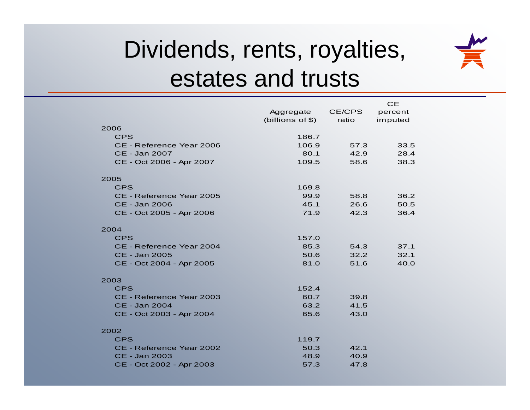

## Dividends, rents, royalties, estates and trusts

|                          |                    |        | CЕ      |
|--------------------------|--------------------|--------|---------|
|                          | Aggregate          | CE/CPS | percent |
|                          | (billions of $$$ ) | ratio  | imputed |
| 2006                     |                    |        |         |
| <b>CPS</b>               | 186.7              |        |         |
| CE - Reference Year 2006 | 106.9              | 57.3   | 33.5    |
| CE - Jan 2007            | 80.1               | 42.9   | 28.4    |
| CE - Oct 2006 - Apr 2007 | 109.5              | 58.6   | 38.3    |
| 2005                     |                    |        |         |
| <b>CPS</b>               | 169.8              |        |         |
| CE - Reference Year 2005 | 99.9               | 58.8   | 36.2    |
| CE - Jan 2006            | 45.1               | 26.6   | 50.5    |
| CE - Oct 2005 - Apr 2006 | 71.9               | 42.3   | 36.4    |
|                          |                    |        |         |
| 2004                     |                    |        |         |
| <b>CPS</b>               | 157.0              |        |         |
| CE - Reference Year 2004 | 85.3               | 54.3   | 37.1    |
| CE - Jan 2005            | 50.6               | 32.2   | 32.1    |
| CE - Oct 2004 - Apr 2005 | 81.0               | 51.6   | 40.0    |
| 2003                     |                    |        |         |
| <b>CPS</b>               | 152.4              |        |         |
| CE - Reference Year 2003 | 60.7               | 39.8   |         |
| CE - Jan 2004            | 63.2               | 41.5   |         |
| CE - Oct 2003 - Apr 2004 | 65.6               | 43.0   |         |
|                          |                    |        |         |
| 2002                     |                    |        |         |
| <b>CPS</b>               | 119.7              |        |         |
| CE - Reference Year 2002 | 50.3               | 42.1   |         |
| CE - Jan 2003            | 48.9               | 40.9   |         |
| CE - Oct 2002 - Apr 2003 | 57.3               | 47.8   |         |
|                          |                    |        |         |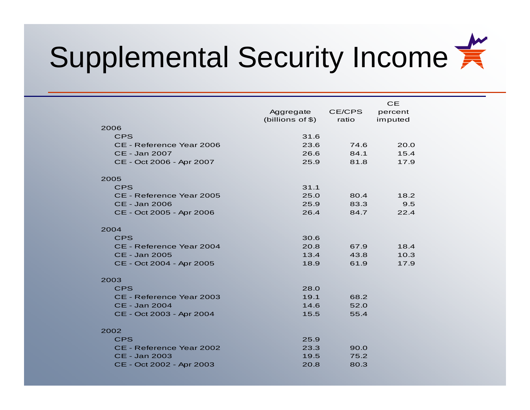# Supplemental Security Income

|                          | Aggregate<br>(billions of $$$ ) | CE/CPS<br>ratio | <b>CE</b><br>percent<br>imputed |  |
|--------------------------|---------------------------------|-----------------|---------------------------------|--|
| 2006                     |                                 |                 |                                 |  |
| <b>CPS</b>               | 31.6                            |                 |                                 |  |
| CE - Reference Year 2006 | 23.6                            | 74.6            | 20.0                            |  |
| CE - Jan 2007            | 26.6                            | 84.1            | 15.4                            |  |
| CE - Oct 2006 - Apr 2007 | 25.9                            | 81.8            | 17.9                            |  |
| 2005                     |                                 |                 |                                 |  |
| <b>CPS</b>               | 31.1                            |                 |                                 |  |
| CE - Reference Year 2005 | 25.0                            | 80.4            | 18.2                            |  |
| CE - Jan 2006            | 25.9                            | 83.3            | 9.5                             |  |
| CE - Oct 2005 - Apr 2006 | 26.4                            | 84.7            | 22.4                            |  |
| 2004                     |                                 |                 |                                 |  |
| <b>CPS</b>               | 30.6                            |                 |                                 |  |
| CE - Reference Year 2004 | 20.8                            | 67.9            | 18.4                            |  |
| <b>CE - Jan 2005</b>     | 13.4                            | 43.8            | 10.3                            |  |
| CE - Oct 2004 - Apr 2005 | 18.9                            | 61.9            | 17.9                            |  |
| 2003                     |                                 |                 |                                 |  |
| <b>CPS</b>               | 28.0                            |                 |                                 |  |
| CE - Reference Year 2003 | 19.1                            | 68.2            |                                 |  |
| CE - Jan 2004            | 14.6                            | 52.0            |                                 |  |
| CE - Oct 2003 - Apr 2004 | 15.5                            | 55.4            |                                 |  |
| 2002                     |                                 |                 |                                 |  |
| <b>CPS</b>               | 25.9                            |                 |                                 |  |
| CE - Reference Year 2002 | 23.3                            | 90.0            |                                 |  |
| <b>CE - Jan 2003</b>     | 19.5                            | 75.2            |                                 |  |
| CE - Oct 2002 - Apr 2003 | 20.8                            | 80.3            |                                 |  |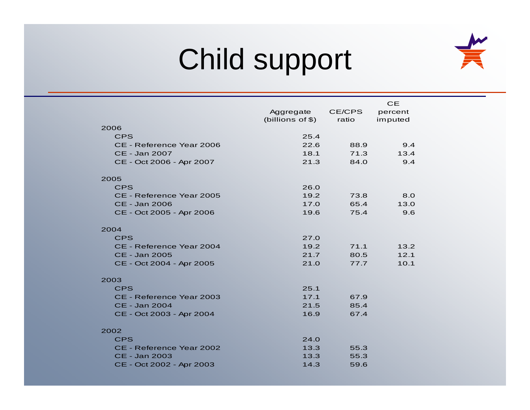# Child support



|                          |                  |        | <b>CE</b> |  |
|--------------------------|------------------|--------|-----------|--|
|                          | Aggregate        | CE/CPS | percent   |  |
| 2006                     | (billions of \$) | ratio  | imputed   |  |
| <b>CPS</b>               | 25.4             |        |           |  |
| CE - Reference Year 2006 | 22.6             | 88.9   | 9.4       |  |
| CE - Jan 2007            | 18.1             | 71.3   | 13.4      |  |
| CE - Oct 2006 - Apr 2007 | 21.3             | 84.0   | 9.4       |  |
|                          |                  |        |           |  |
| 2005                     |                  |        |           |  |
| <b>CPS</b>               | 26.0             |        |           |  |
| CE - Reference Year 2005 | 19.2             | 73.8   | 8.0       |  |
| CE - Jan 2006            | 17.0             | 65.4   | 13.0      |  |
| CE - Oct 2005 - Apr 2006 | 19.6             | 75.4   | 9.6       |  |
| 2004                     |                  |        |           |  |
| <b>CPS</b>               | 27.0             |        |           |  |
| CE - Reference Year 2004 | 19.2             | 71.1   | 13.2      |  |
| CE - Jan 2005            | 21.7             | 80.5   | 12.1      |  |
| CE - Oct 2004 - Apr 2005 | 21.0             | 77.7   | 10.1      |  |
| 2003                     |                  |        |           |  |
| <b>CPS</b>               | 25.1             |        |           |  |
| CE - Reference Year 2003 | 17.1             | 67.9   |           |  |
| CE - Jan 2004            | 21.5             | 85.4   |           |  |
| CE - Oct 2003 - Apr 2004 | 16.9             | 67.4   |           |  |
| 2002                     |                  |        |           |  |
| <b>CPS</b>               | 24.0             |        |           |  |
| CE - Reference Year 2002 | 13.3             | 55.3   |           |  |
| CE - Jan 2003            | 13.3             | 55.3   |           |  |
| CE - Oct 2002 - Apr 2003 | 14.3             | 59.6   |           |  |
|                          |                  |        |           |  |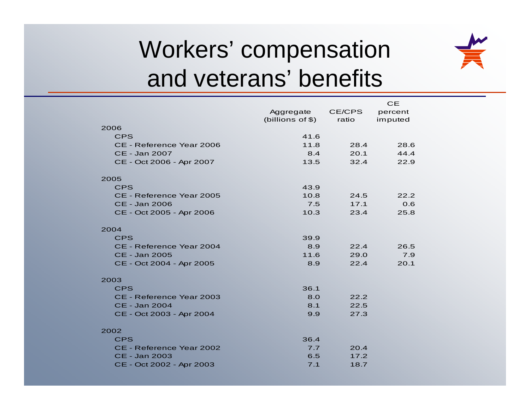# Workers' compensation and veterans' benefits



|                          |                   |        | <b>CE</b> |
|--------------------------|-------------------|--------|-----------|
|                          | Aggregate         | CE/CPS | percent   |
|                          | (billions of $$)$ | ratio  | imputed   |
| 2006                     |                   |        |           |
| <b>CPS</b>               | 41.6              |        |           |
| CE - Reference Year 2006 | 11.8              | 28.4   | 28.6      |
| CE - Jan 2007            | 8.4               | 20.1   | 44.4      |
| CE - Oct 2006 - Apr 2007 | 13.5              | 32.4   | 22.9      |
| 2005                     |                   |        |           |
| <b>CPS</b>               | 43.9              |        |           |
| CE - Reference Year 2005 | 10.8              | 24.5   | 22.2      |
| CE - Jan 2006            | 7.5               | 17.1   | 0.6       |
| CE - Oct 2005 - Apr 2006 | 10.3              | 23.4   | 25.8      |
| 2004                     |                   |        |           |
| <b>CPS</b>               | 39.9              |        |           |
| CE - Reference Year 2004 | 8.9               | 22.4   | 26.5      |
| CE - Jan 2005            | 11.6              | 29.0   | 7.9       |
| CE - Oct 2004 - Apr 2005 | 8.9               | 22.4   | 20.1      |
| 2003                     |                   |        |           |
| <b>CPS</b>               | 36.1              |        |           |
| CE - Reference Year 2003 | 8.0               | 22.2   |           |
| CE - Jan 2004            | 8.1               | 22.5   |           |
| CE - Oct 2003 - Apr 2004 | 9.9               | 27.3   |           |
|                          |                   |        |           |
| 2002                     |                   |        |           |
| <b>CPS</b>               | 36.4              |        |           |
| CE - Reference Year 2002 | 7.7               | 20.4   |           |
| CE - Jan 2003            | 6.5               | 17.2   |           |
| CE - Oct 2002 - Apr 2003 | 7.1               | 18.7   |           |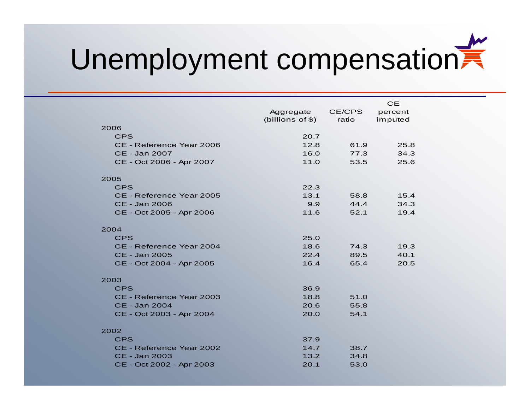# Unemployment compensation

|                          | Aggregate<br>(billions of \$) | CE/CPS<br>ratio | <b>CE</b><br>percent<br>imputed |  |
|--------------------------|-------------------------------|-----------------|---------------------------------|--|
| 2006                     |                               |                 |                                 |  |
| <b>CPS</b>               | 20.7                          |                 |                                 |  |
| CE - Reference Year 2006 | 12.8                          | 61.9            | 25.8                            |  |
| CE - Jan 2007            | 16.0                          | 77.3            | 34.3                            |  |
| CE - Oct 2006 - Apr 2007 | 11.0                          | 53.5            | 25.6                            |  |
| 2005                     |                               |                 |                                 |  |
| <b>CPS</b>               | 22.3                          |                 |                                 |  |
| CE - Reference Year 2005 | 13.1                          | 58.8            | 15.4                            |  |
| CE - Jan 2006            | 9.9                           | 44.4            | 34.3                            |  |
| CE - Oct 2005 - Apr 2006 | 11.6                          | 52.1            | 19.4                            |  |
| 2004                     |                               |                 |                                 |  |
| <b>CPS</b>               | 25.0                          |                 |                                 |  |
| CE - Reference Year 2004 | 18.6                          | 74.3            | 19.3                            |  |
| CE - Jan 2005            | 22.4                          | 89.5            | 40.1                            |  |
| CE - Oct 2004 - Apr 2005 | 16.4                          | 65.4            | 20.5                            |  |
| 2003                     |                               |                 |                                 |  |
| <b>CPS</b>               | 36.9                          |                 |                                 |  |
| CE - Reference Year 2003 | 18.8                          | 51.0            |                                 |  |
| CE - Jan 2004            | 20.6                          | 55.8            |                                 |  |
| CE - Oct 2003 - Apr 2004 | 20.0                          | 54.1            |                                 |  |
| 2002                     |                               |                 |                                 |  |
| <b>CPS</b>               | 37.9                          |                 |                                 |  |
| CE - Reference Year 2002 | 14.7                          | 38.7            |                                 |  |
| CE - Jan 2003            | 13.2                          | 34.8            |                                 |  |
| CE - Oct 2002 - Apr 2003 | 20.1                          | 53.0            |                                 |  |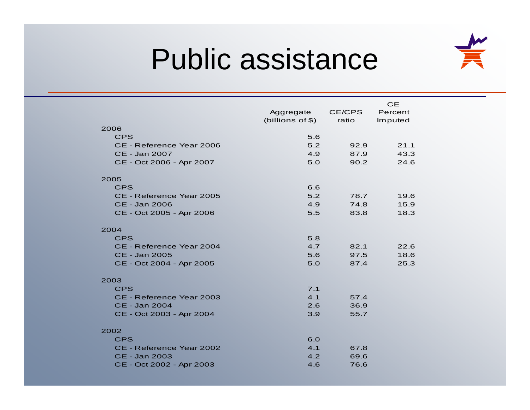

# Public assistance

|                          |                    | <b>CE</b> |         |  |
|--------------------------|--------------------|-----------|---------|--|
|                          | Aggregate          | CE/CPS    | Percent |  |
|                          | (billions of $$$ ) | ratio     | Imputed |  |
| 2006                     |                    |           |         |  |
| <b>CPS</b>               | 5.6                |           |         |  |
| CE - Reference Year 2006 | 5.2                | 92.9      | 21.1    |  |
| CE - Jan 2007            | 4.9                | 87.9      | 43.3    |  |
| CE - Oct 2006 - Apr 2007 | 5.0                | 90.2      | 24.6    |  |
| 2005                     |                    |           |         |  |
| <b>CPS</b>               | 6.6                |           |         |  |
| CE - Reference Year 2005 | 5.2                | 78.7      | 19.6    |  |
| CE - Jan 2006            | 4.9                | 74.8      | 15.9    |  |
| CE - Oct 2005 - Apr 2006 | 5.5                | 83.8      | 18.3    |  |
| 2004                     |                    |           |         |  |
| <b>CPS</b>               | 5.8                |           |         |  |
| CE - Reference Year 2004 | 4.7                | 82.1      | 22.6    |  |
| CE - Jan 2005            | 5.6                | 97.5      | 18.6    |  |
| CE - Oct 2004 - Apr 2005 | 5.0                | 87.4      | 25.3    |  |
|                          |                    |           |         |  |
| 2003                     |                    |           |         |  |
| <b>CPS</b>               | 7.1                |           |         |  |
| CE - Reference Year 2003 | 4.1                | 57.4      |         |  |
| CE - Jan 2004            | 2.6                | 36.9      |         |  |
| CE - Oct 2003 - Apr 2004 | 3.9                | 55.7      |         |  |
| 2002                     |                    |           |         |  |
| <b>CPS</b>               | 6.0                |           |         |  |
| CE - Reference Year 2002 | 4.1                | 67.8      |         |  |
| CE - Jan 2003            | 4.2                | 69.6      |         |  |
| CE - Oct 2002 - Apr 2003 | 4.6                | 76.6      |         |  |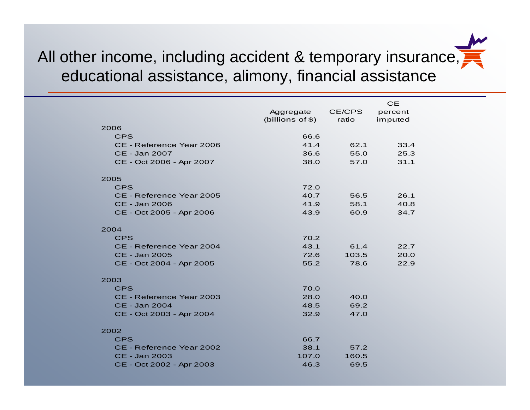### All other income, including accident & temporary insurance, educational assistance, alimony, financial assistance

|                          | Aggregate<br>(billions of \$) | CE/CPS<br>ratio | <b>CE</b><br>percent<br>imputed |
|--------------------------|-------------------------------|-----------------|---------------------------------|
| 2006                     |                               |                 |                                 |
| <b>CPS</b>               | 66.6                          |                 |                                 |
| CE - Reference Year 2006 | 41.4                          | 62.1            | 33.4                            |
| <b>CE - Jan 2007</b>     | 36.6                          | 55.0            | 25.3                            |
| CE - Oct 2006 - Apr 2007 | 38.0                          | 57.0            | 31.1                            |
| 2005                     |                               |                 |                                 |
| <b>CPS</b>               | 72.0                          |                 |                                 |
| CE - Reference Year 2005 | 40.7                          | 56.5            | 26.1                            |
| CE - Jan 2006            | 41.9                          | 58.1            | 40.8                            |
| CE - Oct 2005 - Apr 2006 | 43.9                          | 60.9            | 34.7                            |
| 2004                     |                               |                 |                                 |
| <b>CPS</b>               | 70.2                          |                 |                                 |
| CE - Reference Year 2004 | 43.1                          | 61.4            | 22.7                            |
| <b>CE - Jan 2005</b>     | 72.6                          | 103.5           | 20.0                            |
| CE - Oct 2004 - Apr 2005 | 55.2                          | 78.6            | 22.9                            |
| 2003                     |                               |                 |                                 |
| <b>CPS</b>               | 70.0                          |                 |                                 |
| CE - Reference Year 2003 | 28.0                          | 40.0            |                                 |
| <b>CE - Jan 2004</b>     | 48.5                          | 69.2            |                                 |
| CE - Oct 2003 - Apr 2004 | 32.9                          | 47.0            |                                 |
| 2002                     |                               |                 |                                 |
| <b>CPS</b>               | 66.7                          |                 |                                 |
| CE - Reference Year 2002 | 38.1                          | 57.2            |                                 |
| <b>CE - Jan 2003</b>     | 107.0                         | 160.5           |                                 |
| CE - Oct 2002 - Apr 2003 | 46.3                          | 69.5            |                                 |